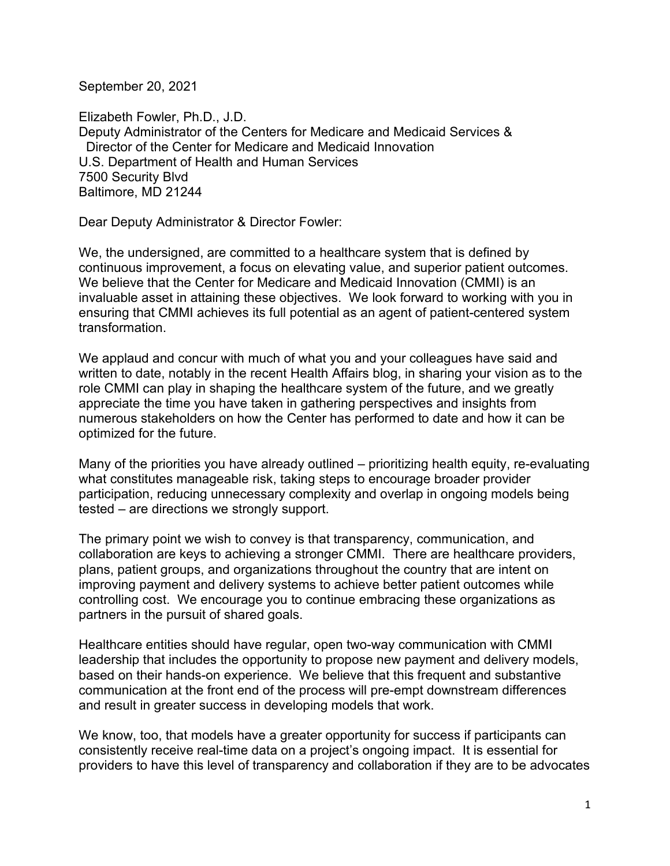September 20, 2021

Elizabeth Fowler, Ph.D., J.D. Deputy Administrator of the Centers for Medicare and Medicaid Services & Director of the Center for Medicare and Medicaid Innovation U.S. Department of Health and Human Services 7500 Security Blvd Baltimore, MD 21244

Dear Deputy Administrator & Director Fowler:

We, the undersigned, are committed to a healthcare system that is defined by continuous improvement, a focus on elevating value, and superior patient outcomes. We believe that the Center for Medicare and Medicaid Innovation (CMMI) is an invaluable asset in attaining these objectives. We look forward to working with you in ensuring that CMMI achieves its full potential as an agent of patient-centered system transformation.

We applaud and concur with much of what you and your colleagues have said and written to date, notably in the recent Health Affairs blog, in sharing your vision as to the role CMMI can play in shaping the healthcare system of the future, and we greatly appreciate the time you have taken in gathering perspectives and insights from numerous stakeholders on how the Center has performed to date and how it can be optimized for the future.

Many of the priorities you have already outlined – prioritizing health equity, re-evaluating what constitutes manageable risk, taking steps to encourage broader provider participation, reducing unnecessary complexity and overlap in ongoing models being tested – are directions we strongly support.

The primary point we wish to convey is that transparency, communication, and collaboration are keys to achieving a stronger CMMI. There are healthcare providers, plans, patient groups, and organizations throughout the country that are intent on improving payment and delivery systems to achieve better patient outcomes while controlling cost. We encourage you to continue embracing these organizations as partners in the pursuit of shared goals.

Healthcare entities should have regular, open two-way communication with CMMI leadership that includes the opportunity to propose new payment and delivery models, based on their hands-on experience. We believe that this frequent and substantive communication at the front end of the process will pre-empt downstream differences and result in greater success in developing models that work.

We know, too, that models have a greater opportunity for success if participants can consistently receive real-time data on a project's ongoing impact. It is essential for providers to have this level of transparency and collaboration if they are to be advocates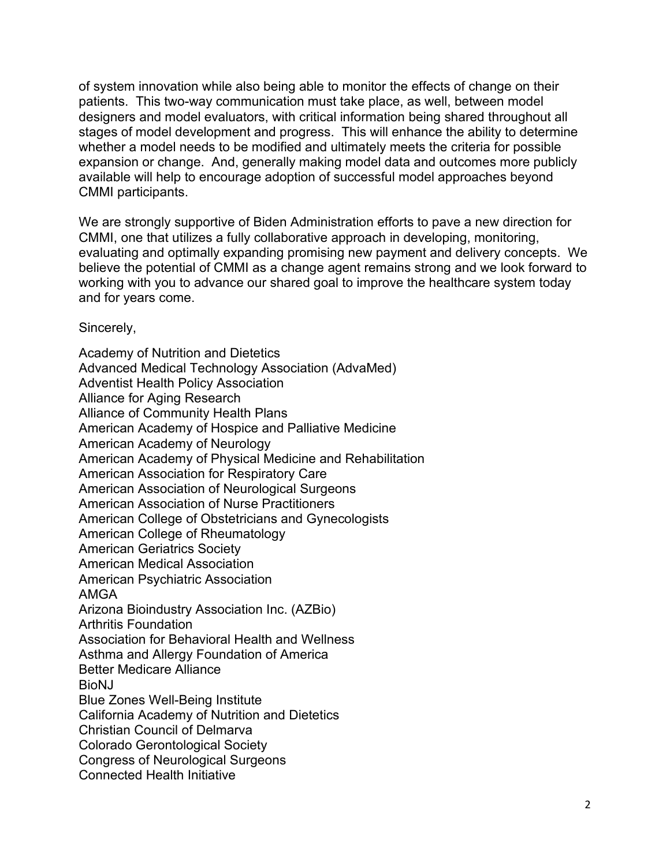of system innovation while also being able to monitor the effects of change on their patients. This two-way communication must take place, as well, between model designers and model evaluators, with critical information being shared throughout all stages of model development and progress. This will enhance the ability to determine whether a model needs to be modified and ultimately meets the criteria for possible expansion or change. And, generally making model data and outcomes more publicly available will help to encourage adoption of successful model approaches beyond CMMI participants.

We are strongly supportive of Biden Administration efforts to pave a new direction for CMMI, one that utilizes a fully collaborative approach in developing, monitoring, evaluating and optimally expanding promising new payment and delivery concepts. We believe the potential of CMMI as a change agent remains strong and we look forward to working with you to advance our shared goal to improve the healthcare system today and for years come.

Sincerely,

Academy of Nutrition and Dietetics Advanced Medical Technology Association (AdvaMed) Adventist Health Policy Association Alliance for Aging Research Alliance of Community Health Plans American Academy of Hospice and Palliative Medicine American Academy of Neurology American Academy of Physical Medicine and Rehabilitation American Association for Respiratory Care American Association of Neurological Surgeons American Association of Nurse Practitioners American College of Obstetricians and Gynecologists American College of Rheumatology American Geriatrics Society American Medical Association American Psychiatric Association AMGA Arizona Bioindustry Association Inc. (AZBio) Arthritis Foundation Association for Behavioral Health and Wellness Asthma and Allergy Foundation of America Better Medicare Alliance BioNJ Blue Zones Well-Being Institute California Academy of Nutrition and Dietetics Christian Council of Delmarva Colorado Gerontological Society Congress of Neurological Surgeons Connected Health Initiative